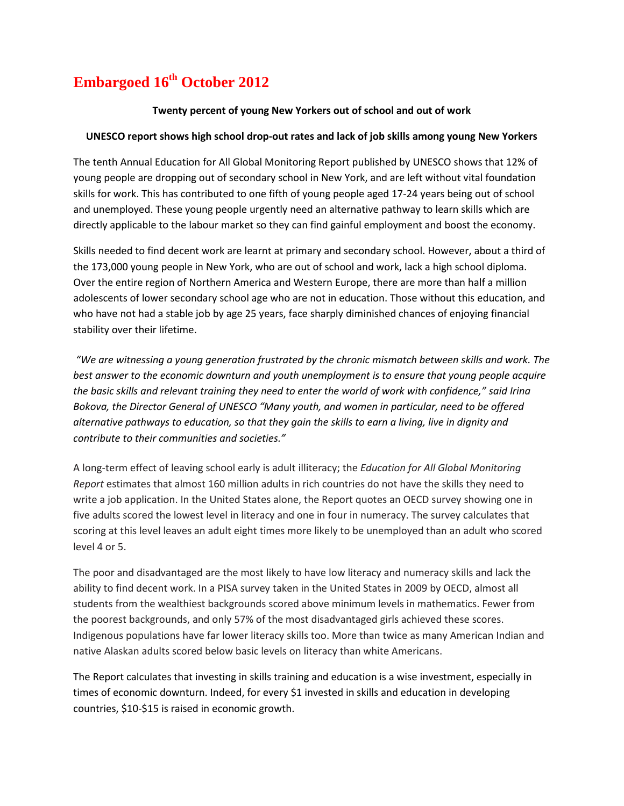## **Embargoed 16th October 2012**

## **Twenty percent of young New Yorkers out of school and out of work**

## **UNESCO report shows high school drop-out rates and lack of job skills among young New Yorkers**

The tenth Annual Education for All Global Monitoring Report published by UNESCO shows that 12% of young people are dropping out of secondary school in New York, and are left without vital foundation skills for work. This has contributed to one fifth of young people aged 17-24 years being out of school and unemployed. These young people urgently need an alternative pathway to learn skills which are directly applicable to the labour market so they can find gainful employment and boost the economy.

Skills needed to find decent work are learnt at primary and secondary school. However, about a third of the 173,000 young people in New York, who are out of school and work, lack a high school diploma. Over the entire region of Northern America and Western Europe, there are more than half a million adolescents of lower secondary school age who are not in education. Those without this education, and who have not had a stable job by age 25 years, face sharply diminished chances of enjoying financial stability over their lifetime.

*"We are witnessing a young generation frustrated by the chronic mismatch between skills and work. The best answer to the economic downturn and youth unemployment is to ensure that young people acquire the basic skills and relevant training they need to enter the world of work with confidence," said Irina Bokova, the Director General of UNESCO "Many youth, and women in particular, need to be offered alternative pathways to education, so that they gain the skills to earn a living, live in dignity and contribute to their communities and societies."*

A long-term effect of leaving school early is adult illiteracy; the *Education for All Global Monitoring Report* estimates that almost 160 million adults in rich countries do not have the skills they need to write a job application. In the United States alone, the Report quotes an OECD survey showing one in five adults scored the lowest level in literacy and one in four in numeracy. The survey calculates that scoring at this level leaves an adult eight times more likely to be unemployed than an adult who scored level 4 or 5.

The poor and disadvantaged are the most likely to have low literacy and numeracy skills and lack the ability to find decent work. In a PISA survey taken in the United States in 2009 by OECD, almost all students from the wealthiest backgrounds scored above minimum levels in mathematics. Fewer from the poorest backgrounds, and only 57% of the most disadvantaged girls achieved these scores. Indigenous populations have far lower literacy skills too. More than twice as many American Indian and native Alaskan adults scored below basic levels on literacy than white Americans.

The Report calculates that investing in skills training and education is a wise investment, especially in times of economic downturn. Indeed, for every \$1 invested in skills and education in developing countries, \$10-\$15 is raised in economic growth.